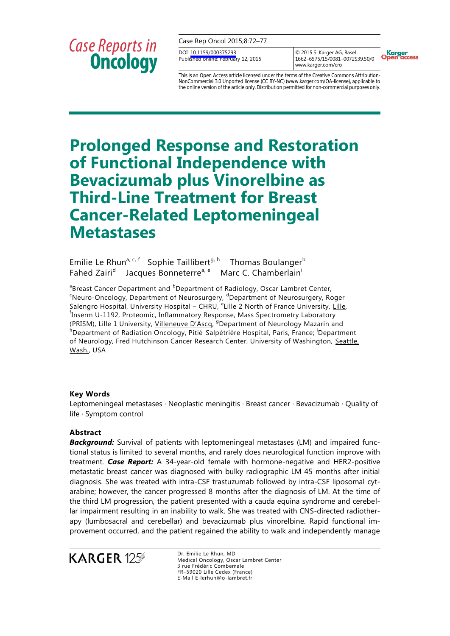## **Case Reports in Oncology**

Case Rep Oncol 2015;8:72–77

DOI: [10.1159/000375293](http://dx.doi.org/10.1159%2F000375293) Published online: February 12, 2015

© 2015 S. Karger AG, Basel 1662‒6575/15/0081‒0072\$39.50/0 www.karger.com/cro



This is an Open Access article licensed under the terms of the Creative Commons Attribution-NonCommercial 3.0 Unported license (CC BY-NC) (www.karger.com/OA-license), applicable to the online version of the article only. Distribution permitted for non-commercial purposes only.

## **Prolonged Response and Restoration of Functional Independence with Bevacizumab plus Vinorelbine as Third-Line Treatment for Breast Cancer-Related Leptomeningeal Metastases**

Emilie Le Rhun<sup>a, c, f</sup> Sophie Taillibert<sup>g, h</sup> Thomas Boulanger<sup>b</sup> Fahed Zairi<sup>d</sup> Jacques Bonneterre<sup>a, e</sup> Marc C. Chamberlain<sup>i</sup>

<sup>a</sup>Breast Cancer Department and <sup>b</sup>Department of Radiology, Oscar Lambret Center, <sup>c</sup>Neuro-Oncology, Department of Neurosurgery, <sup>d</sup>Department of Neurosurgery, Roger Salengro Hospital, University Hospital - CHRU, <sup>e</sup>Lille 2 North of France University, Lille, f Inserm U-1192, Proteomic, Inflammatory Response, Mass Spectrometry Laboratory (PRISM), Lille 1 University, Villeneuve D'Ascq, <sup>9</sup>Department of Neurology Mazarin and <sup>h</sup>Department of Radiation Oncology, Pitié-Salpétrière Hospital, Paris, France; <sup>'</sup>Department of Neurology, Fred Hutchinson Cancer Research Center, University of Washington, Seattle, Wash., USA

#### **Key Words**

Leptomeningeal metastases · Neoplastic meningitis · Breast cancer · Bevacizumab · Quality of life · Symptom control

#### **Abstract**

**Background:** Survival of patients with leptomeningeal metastases (LM) and impaired functional status is limited to several months, and rarely does neurological function improve with treatment. *Case Report:* A 34-year-old female with hormone-negative and HER2-positive metastatic breast cancer was diagnosed with bulky radiographic LM 45 months after initial diagnosis. She was treated with intra-CSF trastuzumab followed by intra-CSF liposomal cytarabine; however, the cancer progressed 8 months after the diagnosis of LM. At the time of the third LM progression, the patient presented with a cauda equina syndrome and cerebellar impairment resulting in an inability to walk. She was treated with CNS-directed radiotherapy (lumbosacral and cerebellar) and bevacizumab plus vinorelbine. Rapid functional improvement occurred, and the patient regained the ability to walk and independently manage



Dr. Emilie Le Rhun, MD Medical Oncology, Oscar Lambret Center 3 rue Frédéric Combemale FR–59020 Lille Cedex (France) E-Mail E-lerhun@o-lambret.fr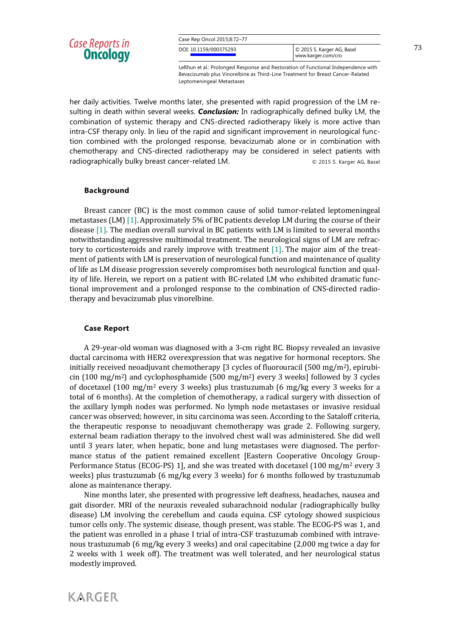## Case Reports in<br>**Oncology**

| Case Rep Oncol 2015;8:72-77 |                            |
|-----------------------------|----------------------------|
| DOI: 10.1159/000375293      | C 2015 S. Karger AG, Basel |
|                             | www.karger.com/cro         |

LeRhun et al.: Prolonged Response and Restoration of Functional Independence with Bevacizumab plus Vinorelbine as Third-Line Treatment for Breast Cancer-Related Leptomeningeal Metastases

her daily activities. Twelve months later, she presented with rapid progression of the LM resulting in death within several weeks. *Conclusion:* In radiographically defined bulky LM, the combination of systemic therapy and CNS-directed radiotherapy likely is more active than intra-CSF therapy only. In lieu of the rapid and significant improvement in neurological function combined with the prolonged response, bevacizumab alone or in combination with chemotherapy and CNS-directed radiotherapy may be considered in select patients with radiographically bulky breast cancer-related LM.  $\bullet$  2015 S. Karger AG, Basel

#### **Background**

Breast cancer (BC) is the most common cause of solid tumor-related leptomeningeal metastases (LM) [1]. Approximately 5% of BC patients develop LM during the course of their disease [1]. The median overall survival in BC patients with LM is limited to several months notwithstanding aggressive multimodal treatment. The neurological signs of LM are refractory to corticosteroids and rarely improve with treatment [1]. The major aim of the treatment of patients with LM is preservation of neurological function and maintenance of quality of life as LM disease progression severely compromises both neurological function and quality of life. Herein, we report on a patient with BC-related LM who exhibited dramatic functional improvement and a prolonged response to the combination of CNS-directed radiotherapy and bevacizumab plus vinorelbine.

#### **Case Report**

A 29-year-old woman was diagnosed with a 3-cm right BC. Biopsy revealed an invasive ductal carcinoma with HER2 overexpression that was negative for hormonal receptors. She initially received neoadjuvant chemotherapy [3 cycles of fluorouracil (500 mg/m<sup>2</sup>), epirubicin (100 mg/m<sup>2</sup>) and cyclophosphamide (500 mg/m<sup>2</sup>) every 3 weeks] followed by 3 cycles of docetaxel (100 mg/m<sup>2</sup> every 3 weeks) plus trastuzumab (6 mg/kg every 3 weeks for a total of 6 months). At the completion of chemotherapy, a radical surgery with dissection of the axillary lymph nodes was performed. No lymph node metastases or invasive residual cancer was observed; however, in situ carcinoma was seen. According to the Sataloff criteria, the therapeutic response to neoadjuvant chemotherapy was grade 2. Following surgery, external beam radiation therapy to the involved chest wall was administered. She did well until 3 years later, when hepatic, bone and lung metastases were diagnosed. The performance status of the patient remained excellent [Eastern Cooperative Oncology Group-Performance Status (ECOG-PS) 1], and she was treated with docetaxel (100 mg/m<sup>2</sup> every 3 weeks) plus trastuzumab (6 mg/kg every 3 weeks) for 6 months followed by trastuzumab alone as maintenance therapy.

Nine months later, she presented with progressive left deafness, headaches, nausea and gait disorder. MRI of the neuraxis revealed subarachnoid nodular (radiographically bulky disease) LM involving the cerebellum and cauda equina. CSF cytology showed suspicious tumor cells only. The systemic disease, though present, was stable. The ECOG-PS was 1, and the patient was enrolled in a phase I trial of intra-CSF trastuzumab combined with intravenous trastuzumab (6 mg/kg every 3 weeks) and oral capecitabine (2,000 mg twice a day for 2 weeks with 1 week off). The treatment was well tolerated, and her neurological status modestly improved.

73

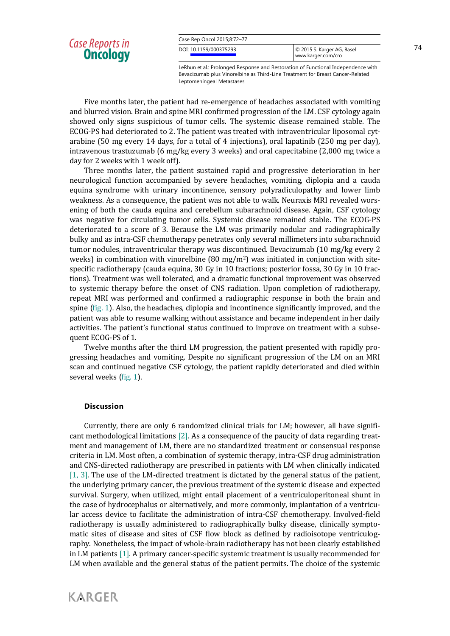| Case Reports in |                 |
|-----------------|-----------------|
|                 | <b>Oncology</b> |

| Case Rep Oncol 2015;8:72-77 |                            |
|-----------------------------|----------------------------|
| DOI: 10.1159/000375293      | C 2015 S. Karger AG, Basel |
|                             | www.karger.com/cro         |

LeRhun et al.: Prolonged Response and Restoration of Functional Independence with Bevacizumab plus Vinorelbine as Third-Line Treatment for Breast Cancer-Related Leptomeningeal Metastases

Five months later, the patient had re-emergence of headaches associated with vomiting and blurred vision. Brain and spine MRI confirmed progression of the LM. CSF cytology again showed only signs suspicious of tumor cells. The systemic disease remained stable. The ECOG-PS had deteriorated to 2. The patient was treated with intraventricular liposomal cytarabine (50 mg every 14 days, for a total of 4 injections), oral lapatinib (250 mg per day), intravenous trastuzumab (6 mg/kg every 3 weeks) and oral capecitabine (2,000 mg twice a day for 2 weeks with 1 week off).

Three months later, the patient sustained rapid and progressive deterioration in her neurological function accompanied by severe headaches, vomiting, diplopia and a cauda equina syndrome with urinary incontinence, sensory polyradiculopathy and lower limb weakness. As a consequence, the patient was not able to walk. Neuraxis MRI revealed worsening of both the cauda equina and cerebellum subarachnoid disease. Again, CSF cytology was negative for circulating tumor cells. Systemic disease remained stable. The ECOG-PS deteriorated to a score of 3. Because the LM was primarily nodular and radiographically bulky and as intra-CSF chemotherapy penetrates only several millimeters into subarachnoid tumor nodules, intraventricular therapy was discontinued. Bevacizumab (10 mg/kg every 2 weeks) in combination with vinorelbine (80 mg/m<sup>2</sup>) was initiated in conjunction with sitespecific radiotherapy (cauda equina, 30 Gy in 10 fractions; posterior fossa, 30 Gy in 10 fractions). Treatment was well tolerated, and a dramatic functional improvement was observed to systemic therapy before the onset of CNS radiation. Upon completion of radiotherapy, repeat MRI was performed and confirmed a radiographic response in both the brain and spine ([fig. 1](#page-5-0)). Also, the headaches, diplopia and incontinence significantly improved, and the patient was able to resume walking without assistance and became independent in her daily activities. The patient's functional status continued to improve on treatment with a subsequent ECOG-PS of 1.

<span id="page-2-0"></span>Twelve months after the third LM progression, the patient presented with rapidly progressing headaches and vomiting. Despite no significant progression of the LM on an MRI scan and continued negative CSF cytology, the patient rapidly deteriorated and died within several weeks (fig. 1).

#### **Discussion**

Currently, there are only 6 randomized clinical trials for LM; however, all have significant methodological limitations [2]. As a consequence of the paucity of data regarding treatment and management of LM, there are no standardized treatment or consensual response criteria in LM. Most often, a combination of systemic therapy, intra-CSF drug administration and CNS-directed radiotherapy are prescribed in patients with LM when clinically indicated [1, 3]. The use of the LM-directed treatment is dictated by the general status of the patient, the underlying primary cancer, the previous treatment of the systemic disease and expected survival. Surgery, when utilized, might entail placement of a ventriculoperitoneal shunt in the case of hydrocephalus or alternatively, and more commonly, implantation of a ventricular access device to facilitate the administration of intra-CSF chemotherapy. Involved-field radiotherapy is usually administered to radiographically bulky disease, clinically symptomatic sites of disease and sites of CSF flow block as defined by radioisotope ventriculography. Nonetheless, the impact of whole-brain radiotherapy has not been clearly established in LM patients [1]. A primary cancer-specific systemic treatment is usually recommended for LM when available and the general status of the patient permits. The choice of the systemic

**KARGER**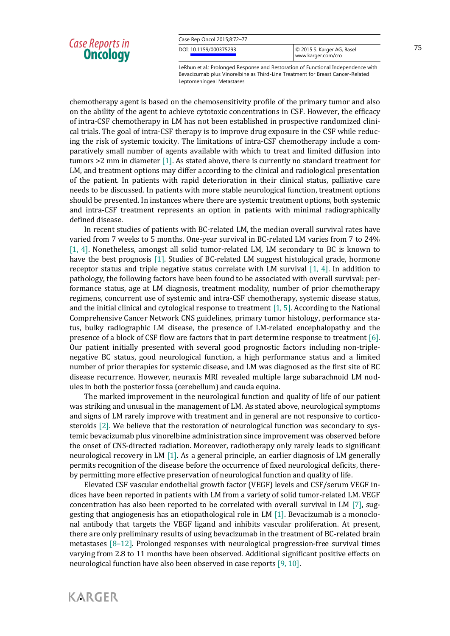| Case Reports in |  |                 |
|-----------------|--|-----------------|
|                 |  | <b>Oncology</b> |

**KARGER** 

| Case Rep Oncol 2015;8:72-77 |                            |
|-----------------------------|----------------------------|
| DOI: 10.1159/000375293      | C 2015 S. Karger AG, Basel |
|                             | www.karger.com/cro         |

LeRhun et al.: Prolonged Response and Restoration of Functional Independence with Bevacizumab plus Vinorelbine as Third-Line Treatment for Breast Cancer-Related Leptomeningeal Metastases

chemotherapy agent is based on the chemosensitivity profile of the primary tumor and also on the ability of the agent to achieve cytotoxic concentrations in CSF. However, the efficacy of intra-CSF chemotherapy in LM has not been established in prospective randomized clinical trials. The goal of intra-CSF therapy is to improve drug exposure in the CSF while reducing the risk of systemic toxicity. The limitations of intra-CSF chemotherapy include a comparatively small number of agents available with which to treat and limited diffusion into tumors >2 mm in diameter [1]. As stated above, there is currently no standard treatment for LM, and treatment options may differ according to the clinical and radiological presentation of the patient. In patients with rapid deterioration in their clinical status, palliative care needs to be discussed. In patients with more stable neurological function, treatment options should be presented. In instances where there are systemic treatment options, both systemic and intra-CSF treatment represents an option in patients with minimal radiographically defined disease.

In recent studies of patients with BC-related LM, the median overall survival rates have varied from 7 weeks to 5 months. One-year survival in BC-related LM varies from 7 to 24% [1, 4]. Nonetheless, amongst all solid tumor-related LM, LM secondary to BC is known to have the best prognosis [1]. Studies of BC-related LM suggest histological grade, hormone receptor status and triple negative status correlate with LM survival [1, 4]. In addition to pathology, the following factors have been found to be associated with overall survival: performance status, age at LM diagnosis, treatment modality, number of prior chemotherapy regimens, concurrent use of systemic and intra-CSF chemotherapy, systemic disease status, and the initial clinical and cytological response to treatment [1, 5]. According to the National Comprehensive Cancer Network CNS guidelines, primary tumor histology, performance status, bulky radiographic LM disease, the presence of LM-related encephalopathy and the presence of a block of CSF flow are factors that in part determine response to treatment [6]. Our patient initially presented with several good prognostic factors including non-triplenegative BC status, good neurological function, a high performance status and a limited number of prior therapies for systemic disease, and LM was diagnosed as the first site of BC disease recurrence. However, neuraxis MRI revealed multiple large subarachnoid LM nodules in both the posterior fossa (cerebellum) and cauda equina.

The marked improvement in the neurological function and quality of life of our patient was striking and unusual in the management of LM. As stated above, neurological symptoms and signs of LM rarely improve with treatment and in general are not responsive to corticosteroids [2]. We believe that the restoration of neurological function was secondary to systemic bevacizumab plus vinorelbine administration since improvement was observed before the onset of CNS-directed radiation. Moreover, radiotherapy only rarely leads to significant neurological recovery in LM [1]. As a general principle, an earlier diagnosis of LM generally permits recognition of the disease before the occurrence of fixed neurological deficits, thereby permitting more effective preservation of neurological function and quality of life.

Elevated CSF vascular endothelial growth factor (VEGF) levels and CSF/serum VEGF indices have been reported in patients with LM from a variety of solid tumor-related LM. VEGF concentration has also been reported to be correlated with overall survival in LM [7], suggesting that angiogenesis has an etiopathological role in LM [1]. Bevacizumab is a monoclonal antibody that targets the VEGF ligand and inhibits vascular proliferation. At present, there are only preliminary results of using bevacizumab in the treatment of BC-related brain metastases [8–12]. Prolonged responses with neurological progression-free survival times varying from 2.8 to 11 months have been observed. Additional significant positive effects on neurological function have also been observed in case reports [9, 10].

75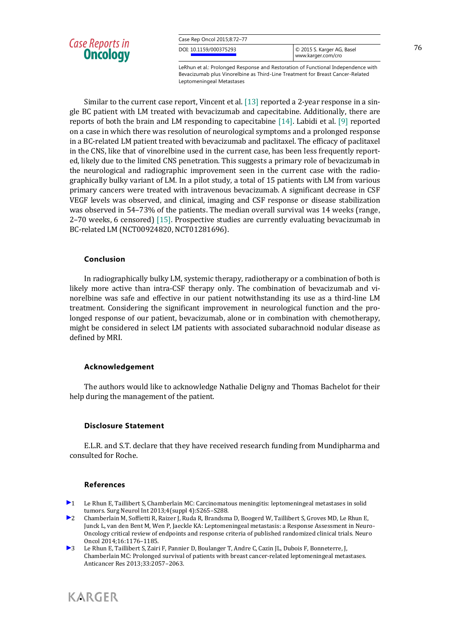| Case Reports in |                 |
|-----------------|-----------------|
|                 | <b>Oncology</b> |

| Case Rep Oncol 2015;8:72-77 |                            |
|-----------------------------|----------------------------|
| DOI: 10.1159/000375293      | C 2015 S. Karger AG, Basel |
|                             | www.karger.com/cro         |

LeRhun et al.: Prolonged Response and Restoration of Functional Independence with Bevacizumab plus Vinorelbine as Third-Line Treatment for Breast Cancer-Related Leptomeningeal Metastases

Similar to the current case report, Vincent et al. [13] reported a 2-year response in a single BC patient with LM treated with bevacizumab and capecitabine. Additionally, there are reports of both the brain and LM responding to capecitabine [14]. Labidi et al. [9] reported on a case in which there was resolution of neurological symptoms and a prolonged response in a BC-related LM patient treated with bevacizumab and paclitaxel. The efficacy of paclitaxel in the CNS, like that of vinorelbine used in the current case, has been less frequently reported, likely due to the limited CNS penetration. This suggests a primary role of bevacizumab in the neurological and radiographic improvement seen in the current case with the radiographically bulky variant of LM. In a pilot study, a total of 15 patients with LM from various primary cancers were treated with intravenous bevacizumab. A significant decrease in CSF VEGF levels was observed, and clinical, imaging and CSF response or disease stabilization was observed in 54–73% of the patients. The median overall survival was 14 weeks (range, 2–70 weeks, 6 censored) [15]. Prospective studies are currently evaluating bevacizumab in BC-related LM (NCT00924820, NCT01281696).

#### **Conclusion**

In radiographically bulky LM, systemic therapy, radiotherapy or a combination of both is likely more active than intra-CSF therapy only. The combination of bevacizumab and vinorelbine was safe and effective in our patient notwithstanding its use as a third-line LM treatment. Considering the significant improvement in neurological function and the prolonged response of our patient, bevacizumab, alone or in combination with chemotherapy, might be considered in select LM patients with associated subarachnoid nodular disease as defined by MRI.

#### **Acknowledgement**

The authors would like to acknowledge Nathalie Deligny and Thomas Bachelot for their help during the management of the patient.

#### **Disclosure Statement**

E.L.R. and S.T. declare that they have received research funding from Mundipharma and consulted for Roche.

#### **References**

- 1 Le Rhun E, Taillibert S, Chamberlain MC: Carcinomatous meningitis: leptomeningeal metastases in solid tumors. Surg Neurol Int 2013;4(suppl 4):S265–S288.
- 2 Chamberlain M, Soffietti R, Raizer J, Ruda R, Brandsma D, Boogerd W, Taillibert S, Groves MD, Le Rhun E, Junck L, van den Bent M, Wen P, Jaeckle KA: Leptomeningeal metastasis: a Response Assessment in Neuro-Oncology critical review of endpoints and response criteria of published randomized clinical trials. Neuro Oncol 2014;16:1176–1185.
- 3 Le Rhun E, Taillibert S, Zairi F, Pannier D, Boulanger T, Andre C, Cazin JL, Dubois F, Bonneterre, J, Chamberlain MC: Prolonged survival of patients with breast cancer-related leptomeningeal metastases. Anticancer Res 2013;33:2057–2063.